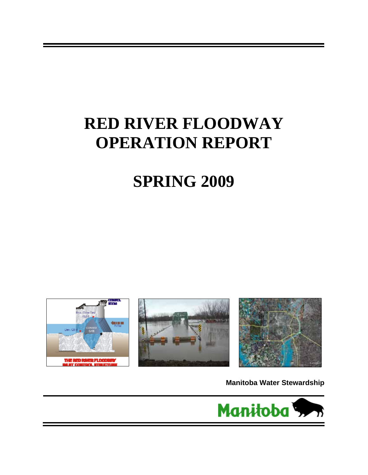# **RED RIVER FLOODWAY OPERATION REPORT**

# **SPRING 2009**



**Manitoba Water Stewardship**

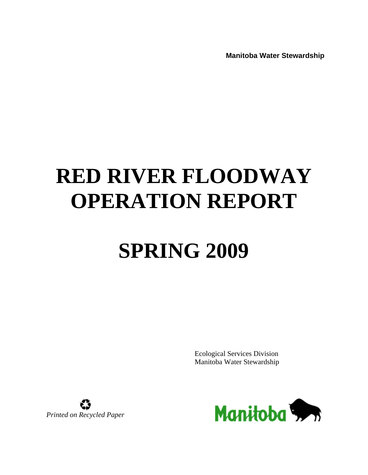**Manitoba Water Stewardship**

# **RED RIVER FLOODWAY OPERATION REPORT**

# **SPRING 2009**

Ecological Services Division Manitoba Water Stewardship



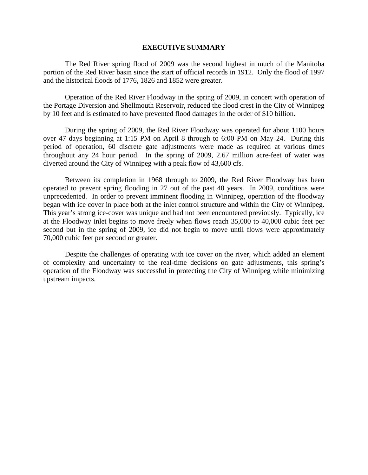#### **EXECUTIVE SUMMARY**

The Red River spring flood of 2009 was the second highest in much of the Manitoba portion of the Red River basin since the start of official records in 1912. Only the flood of 1997 and the historical floods of 1776, 1826 and 1852 were greater.

Operation of the Red River Floodway in the spring of 2009, in concert with operation of the Portage Diversion and Shellmouth Reservoir, reduced the flood crest in the City of Winnipeg by 10 feet and is estimated to have prevented flood damages in the order of \$10 billion.

During the spring of 2009, the Red River Floodway was operated for about 1100 hours over 47 days beginning at 1:15 PM on April 8 through to 6:00 PM on May 24. During this period of operation, 60 discrete gate adjustments were made as required at various times throughout any 24 hour period. In the spring of 2009, 2.67 million acre-feet of water was diverted around the City of Winnipeg with a peak flow of 43,600 cfs.

Between its completion in 1968 through to 2009, the Red River Floodway has been operated to prevent spring flooding in 27 out of the past 40 years. In 2009, conditions were unprecedented. In order to prevent imminent flooding in Winnipeg, operation of the floodway began with ice cover in place both at the inlet control structure and within the City of Winnipeg. This year's strong ice-cover was unique and had not been encountered previously. Typically, ice at the Floodway inlet begins to move freely when flows reach 35,000 to 40,000 cubic feet per second but in the spring of 2009, ice did not begin to move until flows were approximately 70,000 cubic feet per second or greater.

Despite the challenges of operating with ice cover on the river, which added an element of complexity and uncertainty to the real-time decisions on gate adjustments, this spring's operation of the Floodway was successful in protecting the City of Winnipeg while minimizing upstream impacts.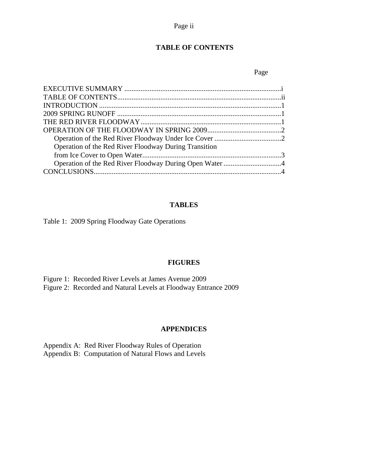### Page ii

### **TABLE OF CONTENTS**

#### Page **Page**

| Operation of the Red River Floodway During Transition |
|-------------------------------------------------------|
|                                                       |
|                                                       |
|                                                       |

#### **TABLES**

Table 1: 2009 Spring Floodway Gate Operations

#### **FIGURES**

Figure 1: Recorded River Levels at James Avenue 2009

Figure 2: Recorded and Natural Levels at Floodway Entrance 2009

#### **APPENDICES**

Appendix A: Red River Floodway Rules of Operation Appendix B: Computation of Natural Flows and Levels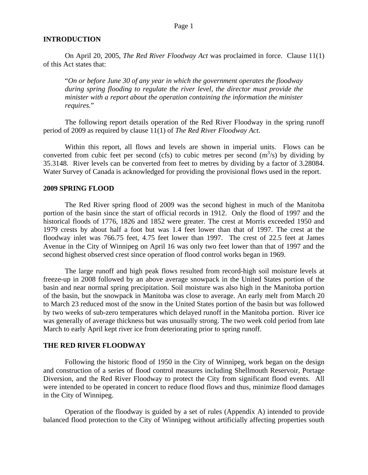#### **INTRODUCTION**

On April 20, 2005, *The Red River Floodway Act* was proclaimed in force. Clause 11(1) of this Act states that:

"*On or before June 30 of any year in which the government operates the floodway during spring flooding to regulate the river level, the director must provide the minister with a report about the operation containing the information the minister requires.*"

The following report details operation of the Red River Floodway in the spring runoff period of 2009 as required by clause 11(1) of *The Red River Floodway Act*.

Within this report, all flows and levels are shown in imperial units. Flows can be converted from cubic feet per second (cfs) to cubic metres per second  $(m^3/s)$  by dividing by 35.3148. River levels can be converted from feet to metres by dividing by a factor of 3.28084. Water Survey of Canada is acknowledged for providing the provisional flows used in the report.

#### **2009 SPRING FLOOD**

The Red River spring flood of 2009 was the second highest in much of the Manitoba portion of the basin since the start of official records in 1912. Only the flood of 1997 and the historical floods of 1776, 1826 and 1852 were greater. The crest at Morris exceeded 1950 and 1979 crests by about half a foot but was 1.4 feet lower than that of 1997. The crest at the floodway inlet was 766.75 feet, 4.75 feet lower than 1997. The crest of 22.5 feet at James Avenue in the City of Winnipeg on April 16 was only two feet lower than that of 1997 and the second highest observed crest since operation of flood control works began in 1969.

The large runoff and high peak flows resulted from record-high soil moisture levels at freeze-up in 2008 followed by an above average snowpack in the United States portion of the basin and near normal spring precipitation. Soil moisture was also high in the Manitoba portion of the basin, but the snowpack in Manitoba was close to average. An early melt from March 20 to March 23 reduced most of the snow in the United States portion of the basin but was followed by two weeks of sub-zero temperatures which delayed runoff in the Manitoba portion. River ice was generally of average thickness but was unusually strong. The two week cold period from late March to early April kept river ice from deteriorating prior to spring runoff.

#### **THE RED RIVER FLOODWAY**

Following the historic flood of 1950 in the City of Winnipeg, work began on the design and construction of a series of flood control measures including Shellmouth Reservoir, Portage Diversion, and the Red River Floodway to protect the City from significant flood events. All were intended to be operated in concert to reduce flood flows and thus, minimize flood damages in the City of Winnipeg.

Operation of the floodway is guided by a set of rules (Appendix A) intended to provide balanced flood protection to the City of Winnipeg without artificially affecting properties south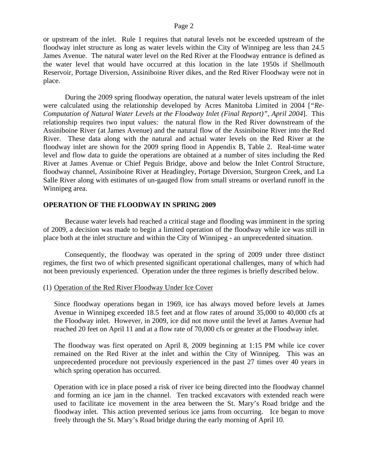#### Page 2

or upstream of the inlet. Rule 1 requires that natural levels not be exceeded upstream of the floodway inlet structure as long as water levels within the City of Winnipeg are less than 24.5 James Avenue. The natural water level on the Red River at the Floodway entrance is defined as the water level that would have occurred at this location in the late 1950s if Shellmouth Reservoir, Portage Diversion, Assiniboine River dikes, and the Red River Floodway were not in place.

During the 2009 spring floodway operation, the natural water levels upstream of the inlet were calculated using the relationship developed by Acres Manitoba Limited in 2004 [*"Re-Computation of Natural Water Levels at the Floodway Inlet (Final Report)", April 2004*]. This relationship requires two input values: the natural flow in the Red River downstream of the Assiniboine River (at James Avenue) and the natural flow of the Assiniboine River into the Red River. These data along with the natural and actual water levels on the Red River at the floodway inlet are shown for the 2009 spring flood in Appendix B, Table 2. Real-time water level and flow data to guide the operations are obtained at a number of sites including the Red River at James Avenue or Chief Peguis Bridge, above and below the Inlet Control Structure, floodway channel, Assiniboine River at Headingley, Portage Diversion, Sturgeon Creek, and La Salle River along with estimates of un-gauged flow from small streams or overland runoff in the Winnipeg area.

#### **OPERATION OF THE FLOODWAY IN SPRING 2009**

Because water levels had reached a critical stage and flooding was imminent in the spring of 2009, a decision was made to begin a limited operation of the floodway while ice was still in place both at the inlet structure and within the City of Winnipeg - an unprecedented situation.

Consequently, the floodway was operated in the spring of 2009 under three distinct regimes, the first two of which presented significant operational challenges, many of which had not been previously experienced. Operation under the three regimes is briefly described below.

#### (1) Operation of the Red River Floodway Under Ice Cover

Since floodway operations began in 1969, ice has always moved before levels at James Avenue in Winnipeg exceeded 18.5 feet and at flow rates of around 35,000 to 40,000 cfs at the Floodway inlet. However, in 2009, ice did not move until the level at James Avenue had reached 20 feet on April 11 and at a flow rate of 70,000 cfs or greater at the Floodway inlet.

The floodway was first operated on April 8, 2009 beginning at 1:15 PM while ice cover remained on the Red River at the inlet and within the City of Winnipeg. This was an unprecedented procedure not previously experienced in the past 27 times over 40 years in which spring operation has occurred.

Operation with ice in place posed a risk of river ice being directed into the floodway channel and forming an ice jam in the channel. Ten tracked excavators with extended reach were used to facilitate ice movement in the area between the St. Mary's Road bridge and the floodway inlet. This action prevented serious ice jams from occurring. Ice began to move freely through the St. Mary's Road bridge during the early morning of April 10.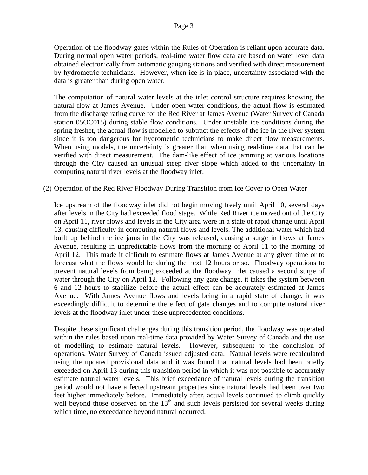Operation of the floodway gates within the Rules of Operation is reliant upon accurate data. During normal open water periods, real-time water flow data are based on water level data obtained electronically from automatic gauging stations and verified with direct measurement by hydrometric technicians. However, when ice is in place, uncertainty associated with the data is greater than during open water.

The computation of natural water levels at the inlet control structure requires knowing the natural flow at James Avenue. Under open water conditions, the actual flow is estimated from the discharge rating curve for the Red River at James Avenue (Water Survey of Canada station 05OC015) during stable flow conditions. Under unstable ice conditions during the spring freshet, the actual flow is modelled to subtract the effects of the ice in the river system since it is too dangerous for hydrometric technicians to make direct flow measurements. When using models, the uncertainty is greater than when using real-time data that can be verified with direct measurement. The dam-like effect of ice jamming at various locations through the City caused an unusual steep river slope which added to the uncertainty in computing natural river levels at the floodway inlet.

#### (2) Operation of the Red River Floodway During Transition from Ice Cover to Open Water

Ice upstream of the floodway inlet did not begin moving freely until April 10, several days after levels in the City had exceeded flood stage. While Red River ice moved out of the City on April 11, river flows and levels in the City area were in a state of rapid change until April 13, causing difficulty in computing natural flows and levels. The additional water which had built up behind the ice jams in the City was released, causing a surge in flows at James Avenue, resulting in unpredictable flows from the morning of April 11 to the morning of April 12. This made it difficult to estimate flows at James Avenue at any given time or to forecast what the flows would be during the next 12 hours or so. Floodway operations to prevent natural levels from being exceeded at the floodway inlet caused a second surge of water through the City on April 12. Following any gate change, it takes the system between 6 and 12 hours to stabilize before the actual effect can be accurately estimated at James Avenue. With James Avenue flows and levels being in a rapid state of change, it was exceedingly difficult to determine the effect of gate changes and to compute natural river levels at the floodway inlet under these unprecedented conditions.

Despite these significant challenges during this transition period, the floodway was operated within the rules based upon real-time data provided by Water Survey of Canada and the use of modelling to estimate natural levels. However, subsequent to the conclusion of operations, Water Survey of Canada issued adjusted data. Natural levels were recalculated using the updated provisional data and it was found that natural levels had been briefly exceeded on April 13 during this transition period in which it was not possible to accurately estimate natural water levels. This brief exceedance of natural levels during the transition period would not have affected upstream properties since natural levels had been over two feet higher immediately before. Immediately after, actual levels continued to climb quickly well beyond those observed on the  $13<sup>th</sup>$  and such levels persisted for several weeks during which time, no exceedance beyond natural occurred.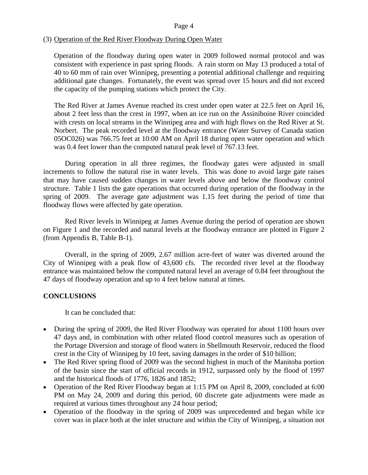#### (3) Operation of the Red River Floodway During Open Water

Operation of the floodway during open water in 2009 followed normal protocol and was consistent with experience in past spring floods. A rain storm on May 13 produced a total of 40 to 60 mm of rain over Winnipeg, presenting a potential additional challenge and requiring additional gate changes. Fortunately, the event was spread over 15 hours and did not exceed the capacity of the pumping stations which protect the City.

The Red River at James Avenue reached its crest under open water at 22.5 feet on April 16, about 2 feet less than the crest in 1997, when an ice run on the Assiniboine River coincided with crests on local streams in the Winnipeg area and with high flows on the Red River at St. Norbert. The peak recorded level at the floodway entrance (Water Survey of Canada station 05OC026) was 766.75 feet at 10:00 AM on April 18 during open water operation and which was 0.4 feet lower than the computed natural peak level of 767.13 feet.

During operation in all three regimes, the floodway gates were adjusted in small increments to follow the natural rise in water levels. This was done to avoid large gate raises that may have caused sudden changes in water levels above and below the floodway control structure. Table 1 lists the gate operations that occurred during operation of the floodway in the spring of 2009. The average gate adjustment was 1.15 feet during the period of time that floodway flows were affected by gate operation.

Red River levels in Winnipeg at James Avenue during the period of operation are shown on Figure 1 and the recorded and natural levels at the floodway entrance are plotted in Figure 2 (from Appendix B, Table B-1).

Overall, in the spring of 2009, 2.67 million acre-feet of water was diverted around the City of Winnipeg with a peak flow of 43,600 cfs. The recorded river level at the floodway entrance was maintained below the computed natural level an average of 0.84 feet throughout the 47 days of floodway operation and up to 4 feet below natural at times.

#### **CONCLUSIONS**

It can be concluded that:

- During the spring of 2009, the Red River Floodway was operated for about 1100 hours over 47 days and, in combination with other related flood control measures such as operation of the Portage Diversion and storage of flood waters in Shellmouth Reservoir, reduced the flood crest in the City of Winnipeg by 10 feet, saving damages in the order of \$10 billion;
- The Red River spring flood of 2009 was the second highest in much of the Manitoba portion of the basin since the start of official records in 1912, surpassed only by the flood of 1997 and the historical floods of 1776, 1826 and 1852;
- Operation of the Red River Floodway began at 1:15 PM on April 8, 2009, concluded at 6:00 PM on May 24, 2009 and during this period, 60 discrete gate adjustments were made as required at various times throughout any 24 hour period;
- Operation of the floodway in the spring of 2009 was unprecedented and began while ice cover was in place both at the inlet structure and within the City of Winnipeg, a situation not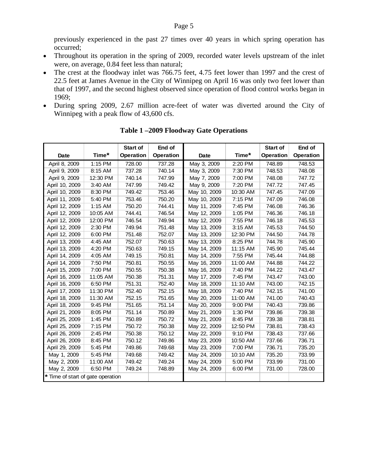previously experienced in the past 27 times over 40 years in which spring operation has occurred;

- Throughout its operation in the spring of 2009, recorded water levels upstream of the inlet were, on average, 0.84 feet less than natural;
- The crest at the floodway inlet was 766.75 feet, 4.75 feet lower than 1997 and the crest of 22.5 feet at James Avenue in the City of Winnipeg on April 16 was only two feet lower than that of 1997, and the second highest observed since operation of flood control works began in 1969;
- During spring 2009, 2.67 million acre-feet of water was diverted around the City of Winnipeg with a peak flow of 43,600 cfs.

|                                   |          | <b>Start of</b>  | End of           |              |          | <b>Start of</b>  | End of           |
|-----------------------------------|----------|------------------|------------------|--------------|----------|------------------|------------------|
| Date                              | Time*    | <b>Operation</b> | <b>Operation</b> | Date         | Time*    | <b>Operation</b> | <b>Operation</b> |
| April 8, 2009                     | 1:15 PM  | 728.00           | 737.28           | May 3, 2009  | 2:20 PM  | 748.89           | 748.53           |
| April 9, 2009                     | 8:15 AM  | 737.28           | 740.14           | May 3, 2009  | 7:30 PM  | 748.53           | 748.08           |
| April 9, 2009                     | 12:30 PM | 740.14           | 747.99           | May 7, 2009  | 7:00 PM  | 748.08           | 747.72           |
| April 10, 2009                    | 3:40 AM  | 747.99           | 749.42           | May 9, 2009  | 7:20 PM  | 747.72           | 747.45           |
| April 10, 2009                    | 8:30 PM  | 749.42           | 753.46           | May 10, 2009 | 10:30 AM | 747.45           | 747.09           |
| April 11, 2009                    | 5:40 PM  | 753.46           | 750.20           | May 10, 2009 | 7:15 PM  | 747.09           | 746.08           |
| April 12, 2009                    | 1:15 AM  | 750.20           | 744.41           | May 11, 2009 | 7:45 PM  | 746.08           | 746.36           |
| April 12, 2009                    | 10:05 AM | 744.41           | 746.54           | May 12, 2009 | 1:05 PM  | 746.36           | 746.18           |
| April 12, 2009                    | 12:00 PM | 746.54           | 749.94           | May 12, 2009 | 7:55 PM  | 746.18           | 745.53           |
| April 12, 2009                    | 2:30 PM  | 749.94           | 751.48           | May 13, 2009 | 3:15 AM  | 745.53           | 744.50           |
| April 12, 2009                    | 6:00 PM  | 751.48           | 752.07           | May 13, 2009 | 12:30 PM | 744.50           | 744.78           |
| April 13, 2009                    | 4:45 AM  | 752.07           | 750.63           | May 13, 2009 | 8:25 PM  | 744.78           | 745.90           |
| April 13, 2009                    | 4:20 PM  | 750.63           | 749.15           | May 14, 2009 | 11:15 AM | 745.90           | 745.44           |
| April 14, 2009                    | 4:05 AM  | 749.15           | 750.81           | May 14, 2009 | 7:55 PM  | 745.44           | 744.88           |
| April 14, 2009                    | 7:50 PM  | 750.81           | 750.55           | May 16, 2009 | 11:00 AM | 744.88           | 744.22           |
| April 15, 2009                    | 7:00 PM  | 750.55           | 750.38           | May 16, 2009 | 7:40 PM  | 744.22           | 743.47           |
| April 16, 2009                    | 11:05 AM | 750.38           | 751.31           | May 17, 2009 | 7:45 PM  | 743.47           | 743.00           |
| April 16, 2009                    | 6:50 PM  | 751.31           | 752.40           | May 18, 2009 | 11:10 AM | 743.00           | 742.15           |
| April 17, 2009                    | 11:30 PM | 752.40           | 752.15           | May 18, 2009 | 7:40 PM  | 742.15           | 741.00           |
| April 18, 2009                    | 11:30 AM | 752.15           | 751.65           | May 20, 2009 | 11:00 AM | 741.00           | 740.43           |
| April 18, 2009                    | 9:45 PM  | 751.65           | 751.14           | May 20, 2009 | 9:00 PM  | 740.43           | 739.86           |
| April 21, 2009                    | 8:05 PM  | 751.14           | 750.89           | May 21, 2009 | 1:30 PM  | 739.86           | 739.38           |
| April 25, 2009                    | 1:45 PM  | 750.89           | 750.72           | May 21, 2009 | 8:45 PM  | 739.38           | 738.81           |
| April 25, 2009                    | 7:15 PM  | 750.72           | 750.38           | May 22, 2009 | 12:50 PM | 738.81           | 738.43           |
| April 26, 2009                    | 2:45 PM  | 750.38           | 750.12           | May 22, 2009 | 9:10 PM  | 738.43           | 737.66           |
| April 26, 2009                    | 8:45 PM  | 750.12           | 749.86           | May 23, 2009 | 10:50 AM | 737.66           | 736.71           |
| April 29, 2009                    | 5:45 PM  | 749.86           | 749.68           | May 23, 2009 | 7:00 PM  | 736.71           | 735.20           |
| May 1, 2009                       | 5:45 PM  | 749.68           | 749.42           | May 24, 2009 | 10:10 AM | 735.20           | 733.99           |
| May 2, 2009                       | 11:00 AM | 749.42           | 749.24           | May 24, 2009 | 5:00 PM  | 733.99           | 731.00           |
| May 2, 2009                       | 6:50 PM  | 749.24           | 748.89           | May 24, 2009 | 6:00 PM  | 731.00           | 728.00           |
| * Time of start of gate operation |          |                  |                  |              |          |                  |                  |

**Table 1 –2009 Floodway Gate Operations**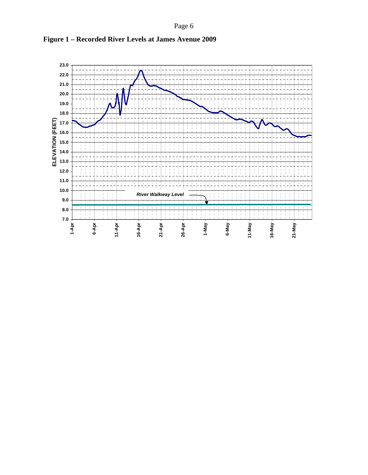Page 6



**Figure 1 – Recorded River Levels at James Avenue 2009**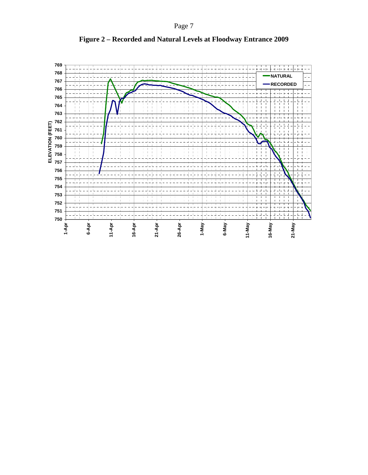Page 7



**Figure 2 – Recorded and Natural Levels at Floodway Entrance 2009**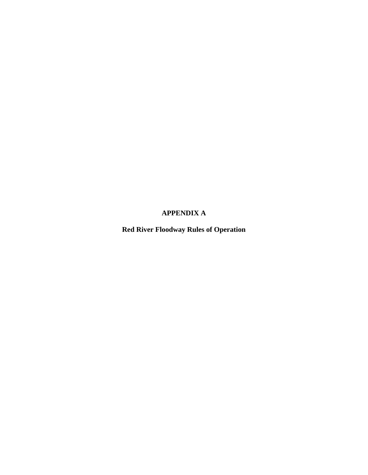# **APPENDIX A**

**Red River Floodway Rules of Operation**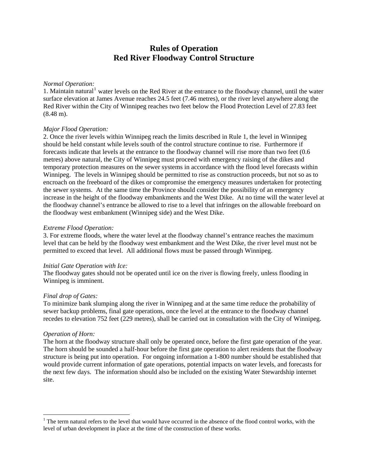# **Rules of Operation Red River Floodway Control Structure**

#### <span id="page-12-0"></span>*Normal Operation:*

[1](#page-12-0). Maintain natural<sup>1</sup> water levels on the Red River at the entrance to the floodway channel, until the water surface elevation at James Avenue reaches 24.5 feet (7.46 metres), or the river level anywhere along the Red River within the City of Winnipeg reaches two feet below the Flood Protection Level of 27.83 feet (8.48 m).

#### *Major Flood Operation:*

2. Once the river levels within Winnipeg reach the limits described in Rule 1, the level in Winnipeg should be held constant while levels south of the control structure continue to rise. Furthermore if forecasts indicate that levels at the entrance to the floodway channel will rise more than two feet (0.6 metres) above natural, the City of Winnipeg must proceed with emergency raising of the dikes and temporary protection measures on the sewer systems in accordance with the flood level forecasts within Winnipeg. The levels in Winnipeg should be permitted to rise as construction proceeds, but not so as to encroach on the freeboard of the dikes or compromise the emergency measures undertaken for protecting the sewer systems. At the same time the Province should consider the possibility of an emergency increase in the height of the floodway embankments and the West Dike. At no time will the water level at the floodway channel's entrance be allowed to rise to a level that infringes on the allowable freeboard on the floodway west embankment (Winnipeg side) and the West Dike.

#### *Extreme Flood Operation:*

3. For extreme floods, where the water level at the floodway channel's entrance reaches the maximum level that can be held by the floodway west embankment and the West Dike, the river level must not be permitted to exceed that level. All additional flows must be passed through Winnipeg.

#### *Initial Gate Operation with Ice:*

The floodway gates should not be operated until ice on the river is flowing freely, unless flooding in Winnipeg is imminent.

#### *Final drop of Gates:*

To minimize bank slumping along the river in Winnipeg and at the same time reduce the probability of sewer backup problems, final gate operations, once the level at the entrance to the floodway channel recedes to elevation 752 feet (229 metres), shall be carried out in consultation with the City of Winnipeg.

#### *Operation of Horn:*

 $\overline{a}$ 

The horn at the floodway structure shall only be operated once, before the first gate operation of the year. The horn should be sounded a half-hour before the first gate operation to alert residents that the floodway structure is being put into operation. For ongoing information a 1-800 number should be established that would provide current information of gate operations, potential impacts on water levels, and forecasts for the next few days. The information should also be included on the existing Water Stewardship internet site.

 $1$ <sup>1</sup> The term natural refers to the level that would have occurred in the absence of the flood control works, with the level of urban development in place at the time of the construction of these works.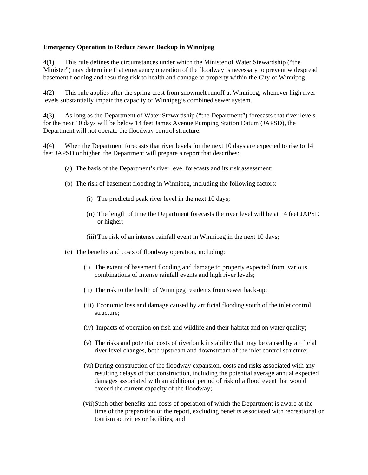#### **Emergency Operation to Reduce Sewer Backup in Winnipeg**

4(1) This rule defines the circumstances under which the Minister of Water Stewardship ("the Minister") may determine that emergency operation of the floodway is necessary to prevent widespread basement flooding and resulting risk to health and damage to property within the City of Winnipeg.

4(2) This rule applies after the spring crest from snowmelt runoff at Winnipeg, whenever high river levels substantially impair the capacity of Winnipeg's combined sewer system.

4(3) As long as the Department of Water Stewardship ("the Department") forecasts that river levels for the next 10 days will be below 14 feet James Avenue Pumping Station Datum (JAPSD), the Department will not operate the floodway control structure.

4(4) When the Department forecasts that river levels for the next 10 days are expected to rise to 14 feet JAPSD or higher, the Department will prepare a report that describes:

- (a) The basis of the Department's river level forecasts and its risk assessment;
- (b) The risk of basement flooding in Winnipeg, including the following factors:
	- (i) The predicted peak river level in the next 10 days;
	- (ii) The length of time the Department forecasts the river level will be at 14 feet JAPSD or higher;
	- (iii)The risk of an intense rainfall event in Winnipeg in the next 10 days;
- (c) The benefits and costs of floodway operation, including:
	- (i) The extent of basement flooding and damage to property expected from various combinations of intense rainfall events and high river levels;
	- (ii) The risk to the health of Winnipeg residents from sewer back-up;
	- (iii) Economic loss and damage caused by artificial flooding south of the inlet control structure;
	- (iv) Impacts of operation on fish and wildlife and their habitat and on water quality;
	- (v) The risks and potential costs of riverbank instability that may be caused by artificial river level changes, both upstream and downstream of the inlet control structure;
	- (vi) During construction of the floodway expansion, costs and risks associated with any resulting delays of that construction, including the potential average annual expected damages associated with an additional period of risk of a flood event that would exceed the current capacity of the floodway;
	- (vii)Such other benefits and costs of operation of which the Department is aware at the time of the preparation of the report, excluding benefits associated with recreational or tourism activities or facilities; and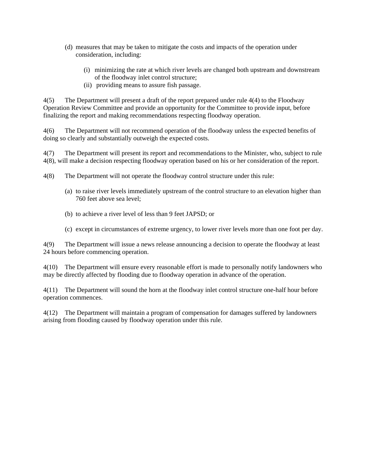- (d) measures that may be taken to mitigate the costs and impacts of the operation under consideration, including:
	- (i) minimizing the rate at which river levels are changed both upstream and downstream of the floodway inlet control structure;
	- (ii) providing means to assure fish passage.

4(5) The Department will present a draft of the report prepared under rule 4(4) to the Floodway Operation Review Committee and provide an opportunity for the Committee to provide input, before finalizing the report and making recommendations respecting floodway operation.

4(6) The Department will not recommend operation of the floodway unless the expected benefits of doing so clearly and substantially outweigh the expected costs.

4(7) The Department will present its report and recommendations to the Minister, who, subject to rule 4(8), will make a decision respecting floodway operation based on his or her consideration of the report.

- 4(8) The Department will not operate the floodway control structure under this rule:
	- (a) to raise river levels immediately upstream of the control structure to an elevation higher than 760 feet above sea level;
	- (b) to achieve a river level of less than 9 feet JAPSD; or
	- (c) except in circumstances of extreme urgency, to lower river levels more than one foot per day.

4(9) The Department will issue a news release announcing a decision to operate the floodway at least 24 hours before commencing operation.

4(10) The Department will ensure every reasonable effort is made to personally notify landowners who may be directly affected by flooding due to floodway operation in advance of the operation.

4(11) The Department will sound the horn at the floodway inlet control structure one-half hour before operation commences.

4(12) The Department will maintain a program of compensation for damages suffered by landowners arising from flooding caused by floodway operation under this rule.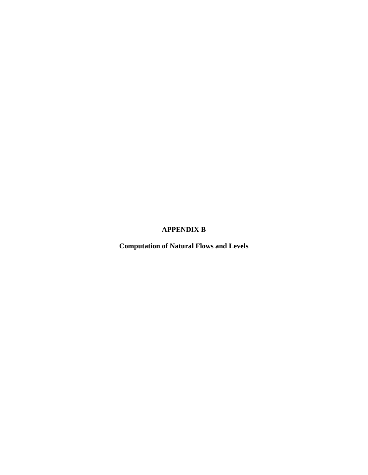# **APPENDIX B**

**Computation of Natural Flows and Levels**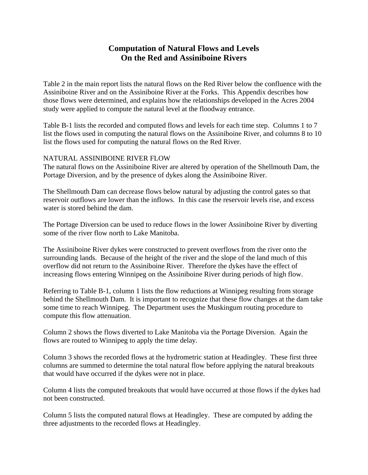# **Computation of Natural Flows and Levels On the Red and Assiniboine Rivers**

Table 2 in the main report lists the natural flows on the Red River below the confluence with the Assiniboine River and on the Assiniboine River at the Forks. This Appendix describes how those flows were determined, and explains how the relationships developed in the Acres 2004 study were applied to compute the natural level at the floodway entrance.

Table B-1 lists the recorded and computed flows and levels for each time step. Columns 1 to 7 list the flows used in computing the natural flows on the Assiniboine River, and columns 8 to 10 list the flows used for computing the natural flows on the Red River.

#### NATURAL ASSINIBOINE RIVER FLOW

The natural flows on the Assiniboine River are altered by operation of the Shellmouth Dam, the Portage Diversion, and by the presence of dykes along the Assiniboine River.

The Shellmouth Dam can decrease flows below natural by adjusting the control gates so that reservoir outflows are lower than the inflows. In this case the reservoir levels rise, and excess water is stored behind the dam.

The Portage Diversion can be used to reduce flows in the lower Assiniboine River by diverting some of the river flow north to Lake Manitoba.

The Assiniboine River dykes were constructed to prevent overflows from the river onto the surrounding lands. Because of the height of the river and the slope of the land much of this overflow did not return to the Assiniboine River. Therefore the dykes have the effect of increasing flows entering Winnipeg on the Assiniboine River during periods of high flow.

Referring to Table B-1, column 1 lists the flow reductions at Winnipeg resulting from storage behind the Shellmouth Dam. It is important to recognize that these flow changes at the dam take some time to reach Winnipeg. The Department uses the Muskingum routing procedure to compute this flow attenuation.

Column 2 shows the flows diverted to Lake Manitoba via the Portage Diversion. Again the flows are routed to Winnipeg to apply the time delay.

Column 3 shows the recorded flows at the hydrometric station at Headingley. These first three columns are summed to determine the total natural flow before applying the natural breakouts that would have occurred if the dykes were not in place.

Column 4 lists the computed breakouts that would have occurred at those flows if the dykes had not been constructed.

Column 5 lists the computed natural flows at Headingley. These are computed by adding the three adjustments to the recorded flows at Headingley.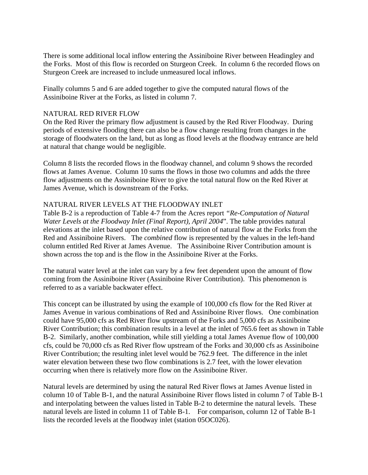There is some additional local inflow entering the Assiniboine River between Headingley and the Forks. Most of this flow is recorded on Sturgeon Creek. In column 6 the recorded flows on Sturgeon Creek are increased to include unmeasured local inflows.

Finally columns 5 and 6 are added together to give the computed natural flows of the Assiniboine River at the Forks, as listed in column 7.

#### NATURAL RED RIVER FLOW

On the Red River the primary flow adjustment is caused by the Red River Floodway. During periods of extensive flooding there can also be a flow change resulting from changes in the storage of floodwaters on the land, but as long as flood levels at the floodway entrance are held at natural that change would be negligible.

Column 8 lists the recorded flows in the floodway channel, and column 9 shows the recorded flows at James Avenue. Column 10 sums the flows in those two columns and adds the three flow adjustments on the Assiniboine River to give the total natural flow on the Red River at James Avenue, which is downstream of the Forks.

#### NATURAL RIVER LEVELS AT THE FLOODWAY INLET

Table B-2 is a reproduction of Table 4-7 from the Acres report *"Re-Computation of Natural Water Levels at the Floodway Inlet (Final Report), April 2004*". The table provides natural elevations at the inlet based upon the relative contribution of natural flow at the Forks from the Red and Assiniboine Rivers. The *combined* flow is represented by the values in the left-hand column entitled Red River at James Avenue. The Assiniboine River Contribution amount is shown across the top and is the flow in the Assiniboine River at the Forks.

The natural water level at the inlet can vary by a few feet dependent upon the amount of flow coming from the Assiniboine River (Assiniboine River Contribution). This phenomenon is referred to as a variable backwater effect.

This concept can be illustrated by using the example of 100,000 cfs flow for the Red River at James Avenue in various combinations of Red and Assiniboine River flows. One combination could have 95,000 cfs as Red River flow upstream of the Forks and 5,000 cfs as Assiniboine River Contribution; this combination results in a level at the inlet of 765.6 feet as shown in Table B-2. Similarly, another combination, while still yielding a total James Avenue flow of 100,000 cfs, could be 70,000 cfs as Red River flow upstream of the Forks and 30,000 cfs as Assiniboine River Contribution; the resulting inlet level would be 762.9 feet. The difference in the inlet water elevation between these two flow combinations is 2.7 feet, with the lower elevation occurring when there is relatively more flow on the Assiniboine River.

Natural levels are determined by using the natural Red River flows at James Avenue listed in column 10 of Table B-1, and the natural Assiniboine River flows listed in column 7 of Table B-1 and interpolating between the values listed in Table B-2 to determine the natural levels. These natural levels are listed in column 11 of Table B-1. For comparison, column 12 of Table B-1 lists the recorded levels at the floodway inlet (station 05OC026).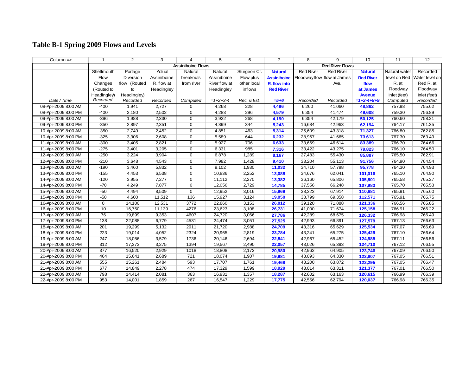# **Table B-1 Spring 2009 Flows and Levels**

| $Column =$          | $\mathbf 1$      | $\overline{2}$ | 3                        | 4              | 5             | 6            | $\overline{7}$         | 8                | 9                           | 10               | 11            | 12             |
|---------------------|------------------|----------------|--------------------------|----------------|---------------|--------------|------------------------|------------------|-----------------------------|------------------|---------------|----------------|
|                     |                  |                | <b>Assiniboine Flows</b> |                |               |              | <b>Red River Flows</b> |                  |                             |                  |               |                |
|                     | Shellmouth       | Portage        | Actual                   | Natural        | Natural       | Sturgeon Cr. | <b>Natural</b>         | <b>Red River</b> | <b>Red River</b>            | <b>Natural</b>   | Natural water | Recorded       |
|                     | Flow             | Diversion      | Assiniboine              | breakouts      | Assiniboine   | Flow plus    | <b>Assiniboine</b>     |                  | Floodway flow flow at James | <b>Red River</b> | level on Red  | Water level on |
|                     | Changes          | flow (Routed   | R. flow at               | from river     | River flow at | other local  | R. flow into           |                  | Ave.                        | flow             | R. at         | Red R. at      |
|                     | (Routed to       | to             | Headingley               |                | Headingley    | inflows      | <b>Red River</b>       |                  |                             | at James         | Floodway      | Floodway       |
|                     | Headingley)      | Headingley)    |                          |                |               |              |                        |                  |                             | <b>Avenue</b>    | Inlet (feet)  | Inlet (feet)   |
| Date / Time         | Recorded         | Recorded       | Recorded                 | Computed       | $=1+2+3-4$    | Rec. & Est.  | $= 5 + 6$              | Recorded         | Recorded                    | $=1+2-4+8+9$     | Computed      | Recorded       |
| 08-Apr-2009 8:00 AM | $-400$           | 1,941          | 2,727                    | 0              | 4,268         | 228          | 4,496                  | 6,260            | 41,060                      | 48,862           | 757.98        | 755.62         |
| 08-Apr-2009 8:00 PM | $-400$           | 2,180          | 2,502                    | $\mathbf 0$    | 4,283         | 296          | 4,579                  | 6,354            | 41,474                      | 49,608           | 759.30        | 756.89         |
| 09-Apr-2009 8:00 AM | $-396$           | 1,988          | 2,330                    | $\mathbf 0$    | 3,922         | 268          | 4,190                  | 6,354            | 42,179                      | 50,125           | 760.60        | 758.21         |
| 09-Apr-2009 8:00 PM | $-350$           | 2,897          | 2,351                    | $\mathbf 0$    | 4,899         | 344          | 5,243                  | 16,684           | 42,963                      | 62,194           | 764.17        | 761.35         |
| 10-Apr-2009 8:00 AM | $-350$           | 2,749          | 2,452                    | $\mathbf 0$    | 4,851         | 463          | 5,314                  | 25,609           | 43,318                      | 71,327           | 766.80        | 762.85         |
| 10-Apr-2009 8:00 PM | $-325$           | 3,306          | 2,608                    | $\mathbf 0$    | 5,589         | 644          | 6,232                  | 28,967           | 41,665                      | 73,613           | 767.30        | 763.49         |
| 11-Apr-2009 8:00 AM | $-300$           | 3,405          | 2,821                    | $\mathbf 0$    | 5,927         | 706          | 6,633                  | 33,669           | 46,614                      | 83,389           | 766.70        | 764.66         |
| 11-Apr-2009 8:00 PM | $-275$           | 3,401          | 3,205                    | $\mathbf 0$    | 6,331         | 985          | 7,316                  | 33,422           | 43,275                      | 79,823           | 766.10        | 764.50         |
| 12-Apr-2009 8:00 AM | $-250$           | 3,224          | 3,904                    | $\mathbf 0$    | 6,878         | 1,289        | 8,167                  | 27,483           | 55,430                      | 85,887           | 765.50        | 762.91         |
| 12-Apr-2009 8:00 PM | $-210$           | 3,648          | 4,543                    | $\mathbf 0$    | 7,982         | 1,428        | 9,410                  | 33,204           | 55,113                      | 91,756           | 764.90        | 764.54         |
| 13-Apr-2009 8:00 AM | $-190$           | 3,460          | 5,832                    | $\mathbf 0$    | 9,102         | 1,930        | 11,032                 | 34,710           | 57,798                      | 95,778           | 764.30        | 764.93         |
| 13-Apr-2009 8:00 PM | $-155$           | 4,453          | 6,538                    | $\mathbf 0$    | 10,836        | 2,252        | 13,088                 | 34,676           | 62,041                      | 101,016          | 765.10        | 764.90         |
| 14-Apr-2009 8:00 AM | $-120$           | 3,955          | 7,277                    | $\mathbf 0$    | 11,112        | 2,270        | 13,382                 | 36,160           | 65,806                      | 105,801          | 765.58        | 765.27         |
| 14-Apr-2009 8:00 PM | $-70$            | 4,249          | 7,877                    | $\overline{0}$ | 12,056        | 2,729        | 14,785                 | 37,556           | 66,248                      | 107,983          | 765.70        | 765.53         |
| 15-Apr-2009 8:00 AM | $-50$            | 4,494          | 8,509                    | $\overline{0}$ | 12,952        | 3,016        | 15,969                 | 38,323           | 67,914                      | 110,681          | 765.91        | 765.60         |
| 15-Apr-2009 8:00 PM | $-50$            | 4,600          | 11,512                   | 136            | 15,927        | 3,124        | 19,050                 | 38,799           | 69,358                      | 112,571          | 765.91        | 765.75         |
| 16-Apr-2009 8:00 AM | $\mathbf 0$      | 14,100         | 12,531                   | 3772           | 22,860        | 3,153        | 26,012                 | 39,120           | 71,888                      | 121,336          | 766.56        | 765.85         |
| 16-Apr-2009 8:00 PM | 10               | 16,750         | 11,139                   | 4276           | 23,623        | 3,108        | 26,731                 | 41,000           | 71,674                      | 125,158          | 766.91        | 766.22         |
| 17-Apr-2009 8:00 AM | 76               | 19,899         | 9,353                    | 4607           | 24,720        | 3,066        | 27,786                 | 42,289           | 68,675                      | 126,332          | 766.98        | 766.49         |
| 17-Apr-2009 8:00 PM | 138              | 22,088         | 6,779                    | 4531           | 24,474        | 3,051        | 27,525                 | 42,993           | 66,891                      | 127,579          | 767.13        | 766.63         |
| 18-Apr-2009 8:00 AM | 201              | 19,299         | 5,132                    | 2911           | 21,720        | 2,988        | 24,709                 | 43,316           | 65,629                      | 125,534          | 767.07        | 766.69         |
| 18-Apr-2009 8:00 PM | 223              | 19,014         | 4,052                    | 2324           | 20,965        | 2,819        | 23,784                 | 43,241           | 65,275                      | 125,429          | 767.10        | 766.64         |
| 19-Apr-2009 8:00 AM | 247              | 18,056         | 3,579                    | 1736           | 20,146        | 2,694        | 22,841                 | 42,967           | 65,452                      | 124,985          | 767.11        | 766.56         |
| 19-Apr-2009 8:00 PM | 312              | 17,373         | 3,275                    | 1394           | 19,567        | 2,490        | 22,057                 | 43,026           | 65,393                      | 124,710          | 767.12        | 766.55         |
| 20-Apr-2009 8:00 AM | $\overline{377}$ | 16,520         | 2,929                    | 1018           | 18,808        | 2,172        | 20,980                 | 42,962           | 64,905                      | 123,746          | 767.09        | 766.50         |
| 20-Apr-2009 8:00 PM | 464              | 15,641         | 2,689                    | 721            | 18,074        | 1,907        | 19,981                 | 43,093           | 64,330                      | 122,807          | 767.05        | 766.51         |
| 21-Apr-2009 8:00 AM | 555              | 15,261         | 2,484                    | 593            | 17,707        | 1,761        | 19,468                 | 43,200           | 63,872                      | 122,295          | 767.05        | 766.47         |
| 21-Apr-2009 8:00 PM | 677              | 14,849         | 2,278                    | 474            | 17,329        | 1,599        | 18,929                 | 43,014           | 63,311                      | 121,377          | 767.01        | 766.50         |
| 22-Apr-2009 8:00 AM | 798              | 14,414         | 2,081                    | 363            | 16,931        | 1,357        | 18,287                 | 42,602           | 63,163                      | 120,615          | 766.99        | 766.39         |
| 22-Apr-2009 8:00 PM | 953              | 14,001         | 1,859                    | 267            | 16,547        | 1,229        | 17,775                 | 42,556           | 62,794                      | 120,037          | 766.98        | 766.35         |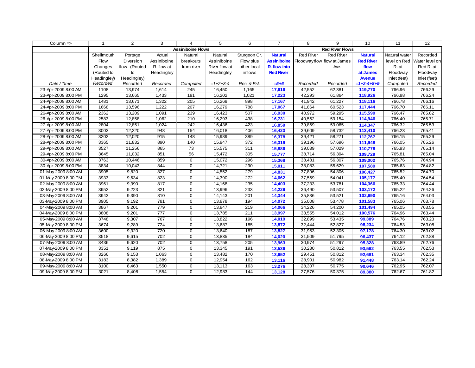| $Column =$          | 1           | $\overline{2}$ | 3                        | 4              | 5             | 6            | $\overline{7}$     | 8                      | 9                           | 10               | 11            | 12             |
|---------------------|-------------|----------------|--------------------------|----------------|---------------|--------------|--------------------|------------------------|-----------------------------|------------------|---------------|----------------|
|                     |             |                | <b>Assiniboine Flows</b> |                |               |              |                    | <b>Red River Flows</b> |                             |                  |               |                |
|                     | Shellmouth  | Portage        | Actual                   | Natural        | Natural       | Sturgeon Cr. | <b>Natural</b>     | <b>Red River</b>       | <b>Red River</b>            | <b>Natural</b>   | Natural water | Recorded       |
|                     | Flow        | Diversion      | Assiniboine              | breakouts      | Assiniboine   | Flow plus    | <b>Assiniboine</b> |                        | Floodway flow flow at James | <b>Red River</b> | level on Red  | Water level on |
|                     | Changes     | flow (Routed   | R. flow at               | from river     | River flow at | other local  | R. flow into       |                        | Ave.                        | flow             | R. at         | Red R. at      |
|                     | (Routed to  | to             | Headingley               |                | Headingley    | inflows      | <b>Red River</b>   |                        |                             | at James         | Floodway      | Floodway       |
|                     | Headingley) | Headingley)    |                          |                |               |              |                    |                        |                             | <b>Avenue</b>    | Inlet (feet)  | Inlet (feet)   |
| Date / Time         | Recorded    | Recorded       | Recorded                 | Computed       | $=1+2+3-4$    | Rec. & Est.  | $=$ 5+6            | Recorded               | Recorded                    | $=1+2-4+8+9$     | Computed      | Recorded       |
| 23-Apr-2009 8:00 AM | 1108        | 13,974         | 1,614                    | 245            | 16,450        | 1,165        | 17,616             | 42,552                 | 62,381                      | 119,770          | 766.96        | 766.29         |
| 23-Apr-2009 8:00 PM | 1295        | 13,665         | 1,433                    | 191            | 16,202        | 1,021        | 17,223             | 42,293                 | 61,864                      | 118,926          | 766.88        | 766.24         |
| 24-Apr-2009 8:00 AM | 1481        | 13,671         | 1,322                    | 205            | 16,269        | 898          | 17,167             | 41,942                 | 61,227                      | 118,116          | 766.78        | 766.16         |
| 24-Apr-2009 8:00 PM | 1668        | 13,596         | 1,222                    | 207            | 16,279        | 788          | 17,067             | 41,864                 | 60,523                      | 117,444          | 766.70        | 766.11         |
| 26-Apr-2009 8:00 AM | 2362        | 13,209         | 1,091                    | 239            | 16,423        | 507          | 16,930             | 40,972                 | 59,295                      | 115,599          | 766.47        | 765.82         |
| 26-Apr-2009 8:00 PM | 2583        | 12,858         | 1,062                    | 210            | 16,293        | 438          | 16,731             | 40,562                 | 59,154                      | 114,946          | 766.40        | 765.71         |
| 27-Apr-2009 8:00 AM | 2804        | 12,851         | 1,024                    | 242            | 16,436        | 423          | 16,859             | 39,869                 | 59,065                      | 114,347          | 766.32        | 765.53         |
| 27-Apr-2009 8:00 PM | 3003        | 12,220         | 948                      | 154            | 16,018        | 406          | 16,423             | 39,609                 | 58,732                      | 113,410          | 766.23        | 765.41         |
| 28-Apr-2009 8:00 AM | 3202        | 12,020         | 915                      | 148            | 15,989        | 389          | 16,378             | 39,421                 | 58,271                      | 112,767          | 766.15        | 765.29         |
| 28-Apr-2009 8:00 PM | 3365        | 11,832         | 890                      | 140            | 15,947        | 372          | 16,319             | 39,196                 | 57,696                      | 111,948          | 766.05        | 765.26         |
| 29-Apr-2009 8:00 AM | 3527        | 11,256         | 865                      | 73             | 15,575        | 311          | 15,886             | 39,039                 | 57,029                      | 110,778          | 765.93        | 765.14         |
| 29-Apr-2009 8:00 PM | 3645        | 11,032         | 851                      | 56             | 15,472        | 305          | 15,777             | 38,714                 | 56,394                      | 109,729          | 765.81        | 765.04         |
| 30-Apr-2009 8:00 AM | 3763        | 10,446         | 859                      | $\mathbf 0$    | 15,072        | 296          | 15,368             | 38,481                 | 56,307                      | 109,002          | 765.76        | 764.94         |
| 30-Apr-2009 8:00 PM | 3834        | 10,043         | 844                      | $\overline{0}$ | 14,721        | 290          | 15,011             | 38,083                 | 55,629                      | 107,589          | 765.63        | 764.82         |
| 01-May-2009 8:00 AM | 3905        | 9,820          | 827                      | $\mathbf 0$    | 14,552        | 279          | 14,831             | 37,896                 | 54,806                      | 106,427          | 765.52        | 764.70         |
| 01-May-2009 8:00 PM | 3933        | 9,634          | 823                      | $\mathbf 0$    | 14,390        | 272          | 14,662             | 37,569                 | 54,041                      | 105,177          | 765.40        | 764.54         |
| 02-May-2009 8:00 AM | 3961        | 9,390          | 817                      | $\overline{0}$ | 14,168        | 235          | 14,403             | 37,233                 | 53,781                      | 104,366          | 765.33        | 764.44         |
| 02-May-2009 8:00 PM | 3952        | 9,223          | 821                      | $\mathbf 0$    | 13,996        | 233          | 14,229             | 36,490                 | 53,507                      | 103,172          | 765.22        | 764.26         |
| 03-May-2009 8:00 AM | 3943        | 9,390          | 810                      | $\mathbf 0$    | 14,143        | 201          | 14,344             | 35,836                 | 53,521                      | 102,690          | 765.16        | 764.03         |
| 03-May-2009 8:00 PM | 3905        | 9,192          | 781                      | 0              | 13,878        | 194          | 14,072             | 35,008                 | 53,478                      | 101,583          | 765.06        | 763.78         |
| 04-May-2009 8:00 AM | 3867        | 9,201          | 779                      | $\mathbf 0$    | 13,847        | 219          | 14,066             | 34,226                 | 54,200                      | 101,494          | 765.05        | 763.55         |
| 04-May-2009 8:00 PM | 3808        | 9,201          | 777                      | $\overline{0}$ | 13,785        | 211          | 13,997             | 33,555                 | 54,012                      | 100,576          | 764.96        | 763.44         |
| 05-May-2009 8:00 AM | 3748        | 9,307          | 767                      | $\mathbf{0}$   | 13,822        | 196          | 14,019             | 32,899                 | 53,435                      | 99,389           | 764.76        | 763.23         |
| 05-May-2009 8:00 PM | 3674        | 9,289          | 724                      | 0              | 13,687        | 185          | 13,872             | 32,444                 | 52,827                      | 98,234           | 764.53        | 763.08         |
| 06-May-2009 8:00 AM | 3600        | 9,320          | 720                      | $\overline{0}$ | 13,640        | 187          | 13,827             | 31,953                 | 52,305                      | 97,178           | 764.30        | 763.02         |
| 06-May-2009 8:00 PM | 3518        | 9,615          | 702                      | $\mathbf 0$    | 13,835        | 184          | 14,020             | 31,509                 | 51,795                      | 96,437           | 764.12        | 762.88         |
| 07-May-2009 8:00 AM | 3436        | 9,620          | 702                      | 0              | 13,758        | 205          | 13,963             | 30,974                 | 51,297                      | 95,328           | 763.89        | 762.76         |
| 07-May-2009 8:00 PM | 3351        | 9,119          | 875                      | $\mathbf 0$    | 13,345        | 191          | 13,536             | 30,280                 | 50,812                      | 93,562           | 763.55        | 762.53         |
| 08-May-2009 8:00 AM | 3266        | 9,153          | 1,063                    | $\mathbf 0$    | 13,482        | 170          | 13,652             | 29,451                 | 50,812                      | 92,681           | 763.34        | 762.35         |
| 08-May-2009 8:00 PM | 3183        | 8,382          | 1,389                    | $\overline{0}$ | 12,954        | 162          | 13,116             | 28,901                 | 50,982                      | 91,448           | 763.14        | 762.24         |
| 09-May-2009 8:00 AM | 3100        | 8,463          | 1,550                    | $\mathbf{0}$   | 13,113        | 163          | 13,276             | 28,307                 | 50,775                      | 90,646           | 762.95        | 762.07         |
| 09-May-2009 8:00 PM | 3021        | 8,408          | 1,554                    | 0              | 12,983        | 144          | 13,128             | 27,576                 | 50,375                      | 89,380           | 762.67        | 761.82         |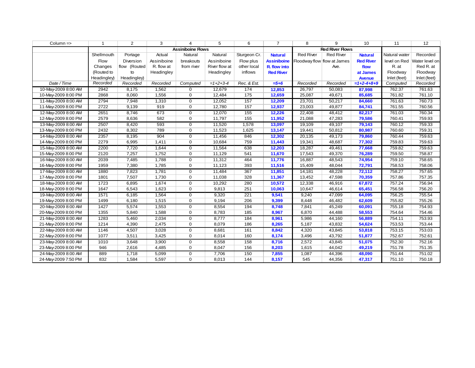| $Column =$          | -1          | 2                        | 3           | 4              | 5             | 6            | $\overline{7}$     | 8                           | 9                | 10               | 11            | 12             |
|---------------------|-------------|--------------------------|-------------|----------------|---------------|--------------|--------------------|-----------------------------|------------------|------------------|---------------|----------------|
|                     |             | <b>Assiniboine Flows</b> |             |                |               |              |                    | <b>Red River Flows</b>      |                  |                  |               |                |
|                     | Shellmouth  | Portage                  | Actual      | Natural        | Natural       | Sturgeon Cr. | <b>Natural</b>     | <b>Red River</b>            | <b>Red River</b> | <b>Natural</b>   | Natural water | Recorded       |
|                     | Flow        | Diversion                | Assiniboine | breakouts      | Assiniboine   | Flow plus    | <b>Assiniboine</b> | Floodway flow flow at James |                  | <b>Red River</b> | level on Red  | Water level on |
|                     | Changes     | flow (Routed             | R. flow at  | from river     | River flow at | other local  | R. flow into       |                             | Ave.             | flow             | R. at         | Red R. at      |
|                     | (Routed to  | to                       | Headingley  |                | Headingley    | inflows      | <b>Red River</b>   |                             |                  | at James         | Floodway      | Floodway       |
|                     | Headingley) | Headingley)              |             |                |               |              |                    |                             |                  | <b>Avenue</b>    | Inlet (feet)  | Inlet (feet)   |
| Date / Time         | Recorded    | Recorded                 | Recorded    | Computed       | $=1+2+3-4$    | Rec. & Est.  | $= 5 + 6$          | Recorded                    | Recorded         | $=1+2-4+8+9$     | Computed      | Recorded       |
| 10-May-2009 8:00 AM | 2942        | 8,175                    | 1,562       | $\Omega$       | 12,679        | 174          | 12,853             | 26,797                      | 50,083           | 87,998           | 762.37        | 761.63         |
| 10-May-2009 8:00 PM | 2868        | 8,060                    | 1,556       | $\mathbf 0$    | 12,484        | 175          | 12,659             | 25,087                      | 49,671           | 85,685           | 761.82        | 761.10         |
| 11-May-2009 8:00 AM | 2794        | 7,948                    | 1,310       | $\mathbf{0}$   | 12,052        | 157          | 12,209             | 23,701                      | 50,217           | 84,660           | 761.63        | 760.73         |
| 11-May-2009 8:00 PM | 2722        | 9,139                    | 919         | $\mathbf 0$    | 12,780        | 157          | 12,937             | 23,003                      | 49,877           | 84,741           | 761.55        | 760.56         |
| 12-May-2009 8:00 AM | 2651        | 8,746                    | 673         | $\mathbf 0$    | 12,070        | 155          | 12,226             | 22,408                      | 48,412           | 82,217           | 761.03        | 760.34         |
| 12-May-2009 8:00 PM | 2579        | 8,636                    | 582         | $\mathbf{0}$   | 11,797        | 155          | 11,952             | 21,088                      | 47,283           | 79,586           | 760.41        | 759.93         |
| 13-May-2009 8:00 AM | 2507        | 8,420                    | 593         | $\mathbf 0$    | 11,520        | 1,578        | 13,097             | 19,109                      | 49,107           | 79,143           | 760.12        | 759.33         |
| 13-May-2009 8:00 PM | 2432        | 8,302                    | 789         | 0              | 11,523        | 1,625        | 13,147             | 19,441                      | 50,812           | 80,987           | 760.60        | 759.31         |
| 14-May-2009 8:00 AM | 2357        | 8,195                    | 904         | $\mathbf 0$    | 11,456        | 846          | 12,302             | 20,135                      | 49,173           | 79,860           | 760.44        | 759.63         |
| 14-May-2009 8:00 PM | 2279        | 6,995                    | 1,411       | $\mathbf 0$    | 10,684        | 759          | 11,443             | 19,341                      | 48,687           | 77,302           | 759.83        | 759.63         |
| 15-May-2009 8:00 AM | 2200        | 7,720                    | 1,644       | $\mathbf 0$    | 11,564        | 638          | 12,203             | 18,287                      | 49,461           | 77,668           | 759.82        | 759.63         |
| 15-May-2009 8:00 PM | 2120        | 7,257                    | 1,752       | $\mathbf 0$    | 11,129        | 541          | 11,670             | 17,543                      | 49,370           | 76,289           | 759.50        | 758.87         |
| 16-May-2009 8:00 AM | 2039        | 7,485                    | 1,788       | $\mathbf 0$    | 11,312        | 464          | 11,776             | 16,887                      | 48,543           | 74,954           | 759.10        | 758.65         |
| 16-May-2009 8:00 PM | 1959        | 7,380                    | 1,785       | $\overline{0}$ | 11,123        | 393          | 11,516             | 15,409                      | 48,044           | 72,791           | 758.53        | 758.06         |
| 17-May-2009 8:00 AM | 1880        | 7,823                    | 1,781       | $\overline{0}$ | 11,484        | 367          | 11,851             | 14,181                      | 48,228           | 72,112           | 758.27        | 757.65         |
| 17-May-2009 8:00 PM | 1801        | 7,507                    | 1,730       | $\overline{0}$ | 11,038        | 328          | 11,367             | 13,452                      | 47,598           | 70,359           | 757.86        | 757.35         |
| 18-May-2009 8:00 AM | 1723        | 6,895                    | 1,674       | $\overline{0}$ | 10,292        | 280          | 10,572             | 12,338                      | 46,916           | 67,872           | 757.24        | 756.94         |
| 18-May-2009 8:00 PM | 1647        | 6,543                    | 1,623       | $\mathbf 0$    | 9,813         | 251          | 10,063             | 10,647                      | 46,614           | 65,451           | 756.58        | 756.20         |
| 19-May-2009 8:00 AM | 1571        | 6,185                    | 1,564       | $\mathbf 0$    | 9,320         | 221          | 9,541              | 9,240                       | 47,099           | 64,095           | 756.25        | 755.54         |
| 19-May-2009 8:00 PM | 1499        | 6,180                    | 1,515       | $\overline{0}$ | 9,194         | 206          | 9,399              | 8,448                       | 46,482           | 62,609           | 755.82        | 755.26         |
| 20-May-2009 8:00 AM | 1427        | 5,574                    | 1,553       | $\mathbf 0$    | 8,554         | 194          | 8,748              | 7,841                       | 45,249           | 60,091           | 755.18        | 754.93         |
| 20-May-2009 8:00 PM | 1355        | 5,840                    | 1,588       | $\mathbf 0$    | 8,783         | 185          | 8,967              | 6,870                       | 44,488           | 58,553           | 754.64        | 754.46         |
| 21-May-2009 8:00 AM | 1283        | 5,460                    | 2,034       | $\mathbf 0$    | 8,777         | 184          | 8,961              | 5,986                       | 44,160           | 56,889           | 754.11        | 753.93         |
| 21-May-2009 8:00 PM | 1214        | 4,390                    | 2,475       | $\mathbf 0$    | 8,079         | 186          | 8,265              | 5,187                       | 43,832           | 54,624           | 753.53        | 753.44         |
| 22-May-2009 8:00 AM | 1146        | 4,507                    | 3,028       | $\overline{0}$ | 8,681         | 161          | 8,842              | 4,320                       | 43,845           | 53,818           | 753.15        | 753.03         |
| 22-May-2009 8:00 PM | 1077        | 3,511                    | 3,425       | $\mathbf 0$    | 8,014         | 160          | 8,174              | 3,496                       | 43,792           | 51,877           | 752.67        | 752.61         |
| 23-May-2009 8:00 AM | 1010        | 3,648                    | 3,900       | $\mathbf 0$    | 8,558         | 158          | 8,716              | 2,572                       | 43,845           | 51,075           | 752.30        | 752.16         |
| 23-May-2009 8:00 PM | 946         | 2,616                    | 4,485       | $\mathbf 0$    | 8,047         | 156          | 8,203              | 1,615                       | 44,042           | 49,219           | 751.78        | 751.35         |
| 24-May-2009 8:00 AM | 889         | 1,718                    | 5,099       | 0              | 7,706         | 150          | 7,855              | 1,087                       | 44,396           | 48,090           | 751.44        | 751.02         |
| 24-May-2009 7:50 PM | 832         | 1,584                    | 5,597       | 0              | 8,013         | 144          | 8,157              | 545                         | 44,356           | 47,317           | 751.10        | 750.18         |